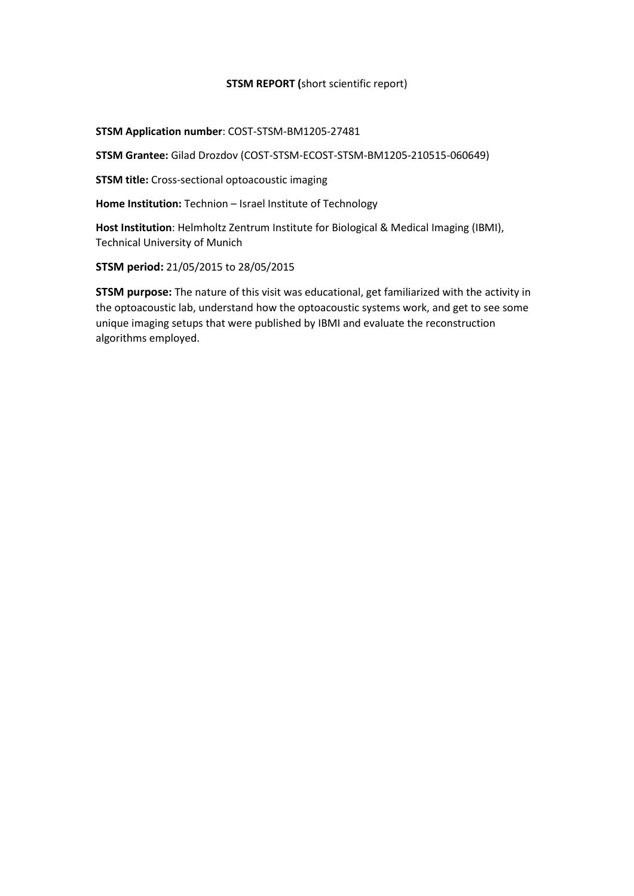#### **STSM REPORT (**short scientific report)

#### **STSM Application number**: COST-STSM-BM1205-27481

**STSM Grantee:** Gilad Drozdov (COST-STSM-ECOST-STSM-BM1205-210515-060649)

**STSM title:** Cross-sectional optoacoustic imaging

**Home Institution:** Technion – Israel Institute of Technology

**Host Institution**: Helmholtz Zentrum Institute for Biological & Medical Imaging (IBMI), Technical University of Munich

**STSM period:** 21/05/2015 to 28/05/2015

**STSM purpose:** The nature of this visit was educational, get familiarized with the activity in the optoacoustic lab, understand how the optoacoustic systems work, and get to see some unique imaging setups that were published by IBMI and evaluate the reconstruction algorithms employed.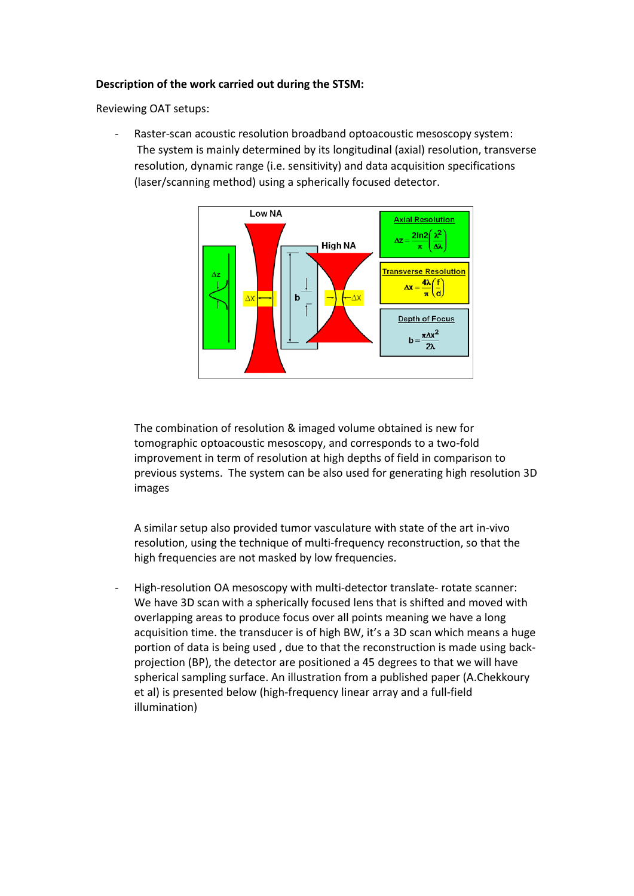#### **Description of the work carried out during the STSM:**

Reviewing OAT setups:

Raster-scan acoustic resolution broadband optoacoustic mesoscopy system: The system is mainly determined by its longitudinal (axial) resolution, transverse resolution, dynamic range (i.e. sensitivity) and data acquisition specifications (laser/scanning method) using a spherically focused detector.



The combination of resolution & imaged volume obtained is new for tomographic optoacoustic mesoscopy, and corresponds to a two-fold improvement in term of resolution at high depths of field in comparison to previous systems. The system can be also used for generating high resolution 3D images

A similar setup also provided tumor vasculature with state of the art in-vivo resolution, using the technique of multi-frequency reconstruction, so that the high frequencies are not masked by low frequencies.

- High-resolution OA mesoscopy with multi-detector translate- rotate scanner: We have 3D scan with a spherically focused lens that is shifted and moved with overlapping areas to produce focus over all points meaning we have a long acquisition time. the transducer is of high BW, it's a 3D scan which means a huge portion of data is being used , due to that the reconstruction is made using backprojection (BP), the detector are positioned a 45 degrees to that we will have spherical sampling surface. An illustration from a published paper (A.Chekkoury et al) is presented below (high-frequency linear array and a full-field illumination)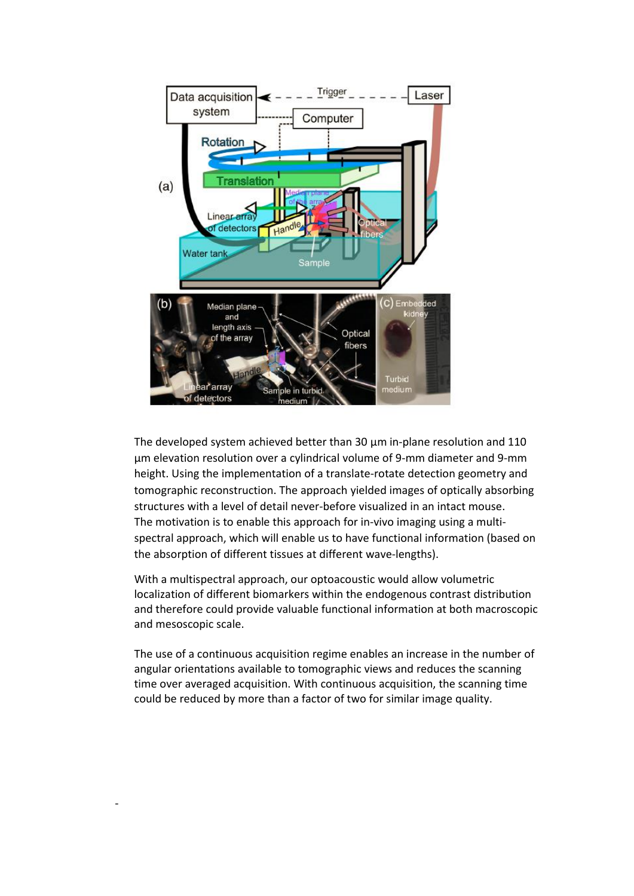

The developed system achieved better than 30 μm in-plane resolution and 110 μm elevation resolution over a cylindrical volume of 9-mm diameter and 9-mm height. Using the implementation of a translate-rotate detection geometry and tomographic reconstruction. The approach yielded images of optically absorbing structures with a level of detail never-before visualized in an intact mouse. The motivation is to enable this approach for in-vivo imaging using a multispectral approach, which will enable us to have functional information (based on the absorption of different tissues at different wave-lengths).

With a multispectral approach, our optoacoustic would allow volumetric localization of different biomarkers within the endogenous contrast distribution and therefore could provide valuable functional information at both macroscopic and mesoscopic scale.

The use of a continuous acquisition regime enables an increase in the number of angular orientations available to tomographic views and reduces the scanning time over averaged acquisition. With continuous acquisition, the scanning time could be reduced by more than a factor of two for similar image quality.

-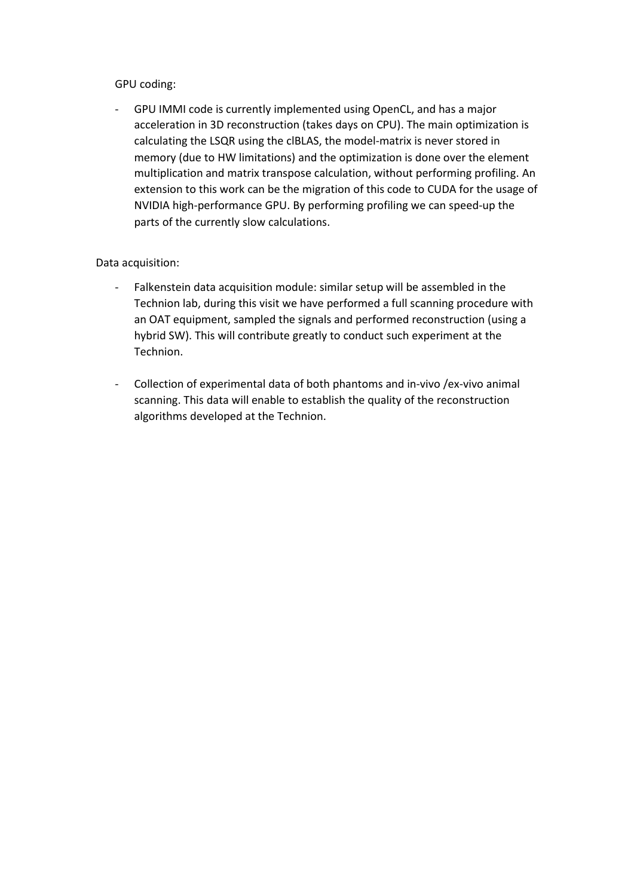## GPU coding:

- GPU IMMI code is currently implemented using OpenCL, and has a major acceleration in 3D reconstruction (takes days on CPU). The main optimization is calculating the LSQR using the clBLAS, the model-matrix is never stored in memory (due to HW limitations) and the optimization is done over the element multiplication and matrix transpose calculation, without performing profiling. An extension to this work can be the migration of this code to CUDA for the usage of NVIDIA high-performance GPU. By performing profiling we can speed-up the parts of the currently slow calculations.

## Data acquisition:

- Falkenstein data acquisition module: similar setup will be assembled in the Technion lab, during this visit we have performed a full scanning procedure with an OAT equipment, sampled the signals and performed reconstruction (using a hybrid SW). This will contribute greatly to conduct such experiment at the Technion.
- Collection of experimental data of both phantoms and in-vivo /ex-vivo animal scanning. This data will enable to establish the quality of the reconstruction algorithms developed at the Technion.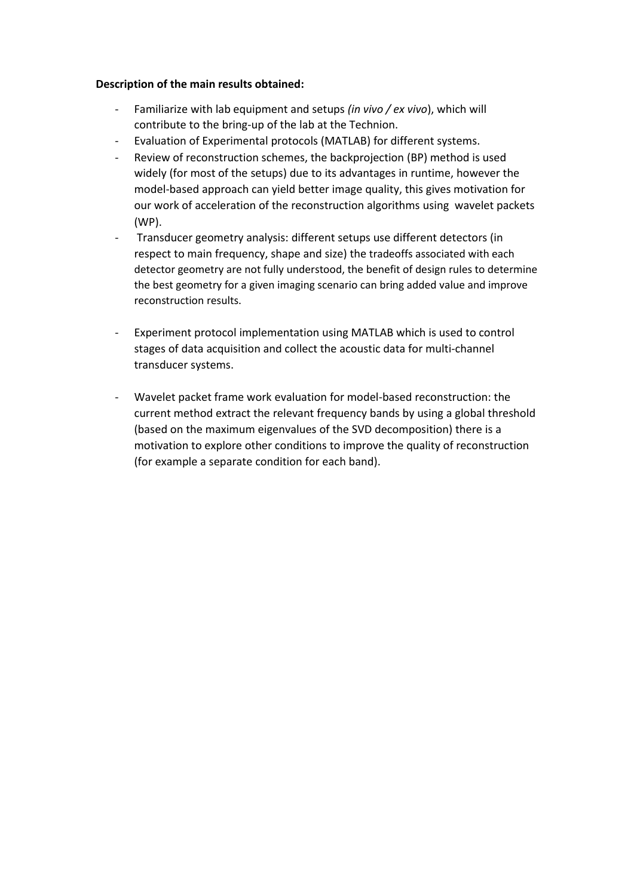#### **Description of the main results obtained:**

- Familiarize with lab equipment and setups *(in vivo / ex vivo*), which will contribute to the bring-up of the lab at the Technion.
- Evaluation of Experimental protocols (MATLAB) for different systems.
- Review of reconstruction schemes, the backprojection (BP) method is used widely (for most of the setups) due to its advantages in runtime, however the model-based approach can yield better image quality, this gives motivation for our work of acceleration of the reconstruction algorithms using wavelet packets (WP).
- Transducer geometry analysis: different setups use different detectors (in respect to main frequency, shape and size) the tradeoffs associated with each detector geometry are not fully understood, the benefit of design rules to determine the best geometry for a given imaging scenario can bring added value and improve reconstruction results.
- Experiment protocol implementation using MATLAB which is used to control stages of data acquisition and collect the acoustic data for multi-channel transducer systems.
- Wavelet packet frame work evaluation for model-based reconstruction: the current method extract the relevant frequency bands by using a global threshold (based on the maximum eigenvalues of the SVD decomposition) there is a motivation to explore other conditions to improve the quality of reconstruction (for example a separate condition for each band).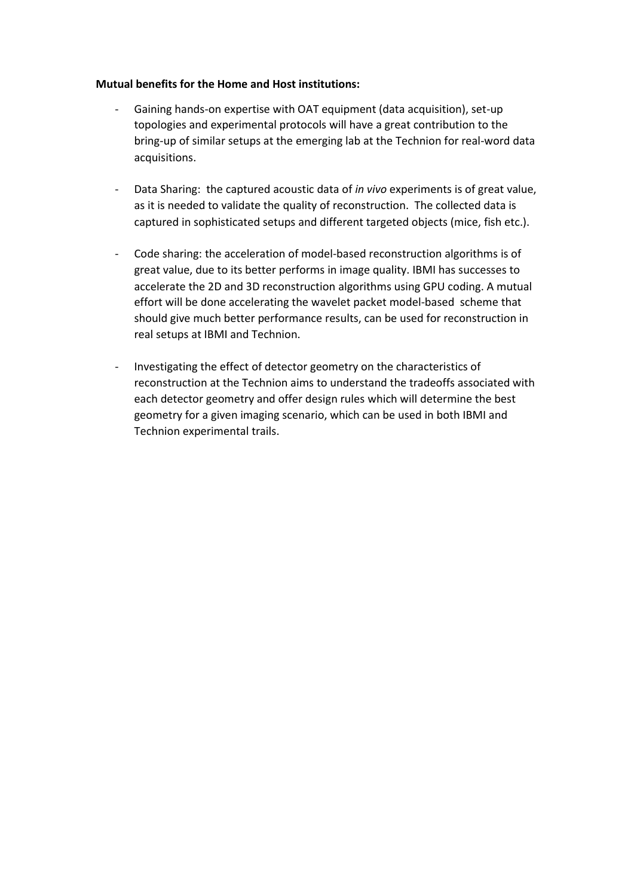#### **Mutual benefits for the Home and Host institutions:**

- Gaining hands-on expertise with OAT equipment (data acquisition), set-up topologies and experimental protocols will have a great contribution to the bring-up of similar setups at the emerging lab at the Technion for real-word data acquisitions.
- Data Sharing: the captured acoustic data of *in vivo* experiments is of great value, as it is needed to validate the quality of reconstruction. The collected data is captured in sophisticated setups and different targeted objects (mice, fish etc.).
- Code sharing: the acceleration of model-based reconstruction algorithms is of great value, due to its better performs in image quality. IBMI has successes to accelerate the 2D and 3D reconstruction algorithms using GPU coding. A mutual effort will be done accelerating the wavelet packet model-based scheme that should give much better performance results, can be used for reconstruction in real setups at IBMI and Technion.
- Investigating the effect of detector geometry on the characteristics of reconstruction at the Technion aims to understand the tradeoffs associated with each detector geometry and offer design rules which will determine the best geometry for a given imaging scenario, which can be used in both IBMI and Technion experimental trails.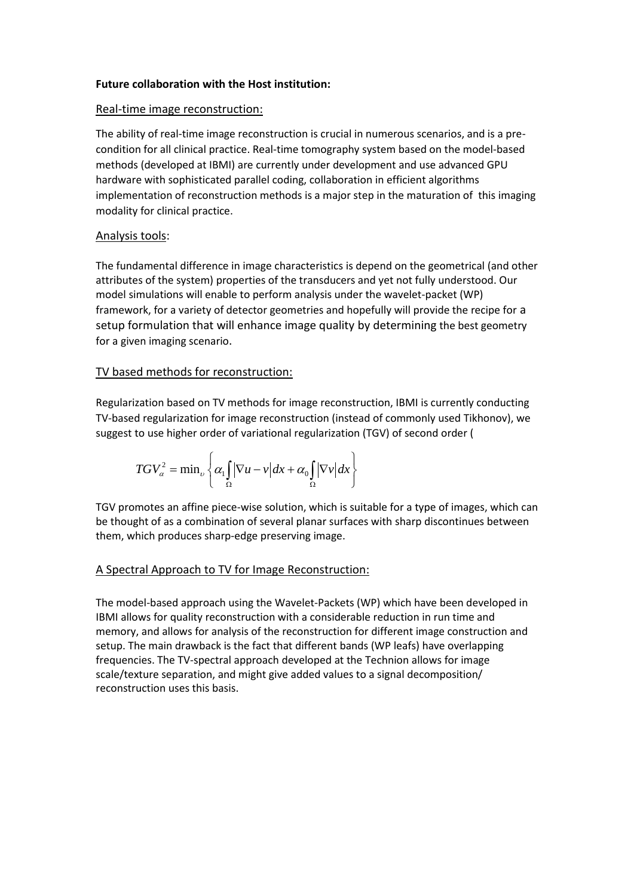#### **Future collaboration with the Host institution:**

#### Real-time image reconstruction:

The ability of real-time image reconstruction is crucial in numerous scenarios, and is a precondition for all clinical practice. Real-time tomography system based on the model-based methods (developed at IBMI) are currently under development and use advanced GPU hardware with sophisticated parallel coding, collaboration in efficient algorithms implementation of reconstruction methods is a major step in the maturation of this imaging modality for clinical practice.

# Analysis tools:

The fundamental difference in image characteristics is depend on the geometrical (and other attributes of the system) properties of the transducers and yet not fully understood. Our model simulations will enable to perform analysis under the wavelet-packet (WP) framework, for a variety of detector geometries and hopefully will provide the recipe for a setup formulation that will enhance image quality by determining the best geometry for a given imaging scenario.

# TV based methods for reconstruction:

Regularization based on TV methods for image reconstruction, IBMI is currently conducting TV-based regularization for image reconstruction (instead of commonly used Tikhonov), we

suggest to use higher order of variational regularization (TGV) of second order (  
\n
$$
TGV_\alpha^2 = \min_\nu \left\{ \alpha_1 \int_\Omega |\nabla u - v| dx + \alpha_0 \int_\Omega |\nabla v| dx \right\}
$$

TGV promotes an affine piece-wise solution, which is suitable for a type of images, which can be thought of as a combination of several planar surfaces with sharp discontinues between them, which produces sharp-edge preserving image.

## [A Spectral Approach to TV](http://guygilboa.eew.technion.ac.il/publications/a-spectral-approach-to-total-variation/) for Image Reconstruction:

The model-based approach using the Wavelet-Packets (WP) which have been developed in IBMI allows for quality reconstruction with a considerable reduction in run time and memory, and allows for analysis of the reconstruction for different image construction and setup. The main drawback is the fact that different bands (WP leafs) have overlapping frequencies. The TV-spectral approach developed at the Technion allows for image scale/texture separation, and might give added values to a signal decomposition/ reconstruction uses this basis.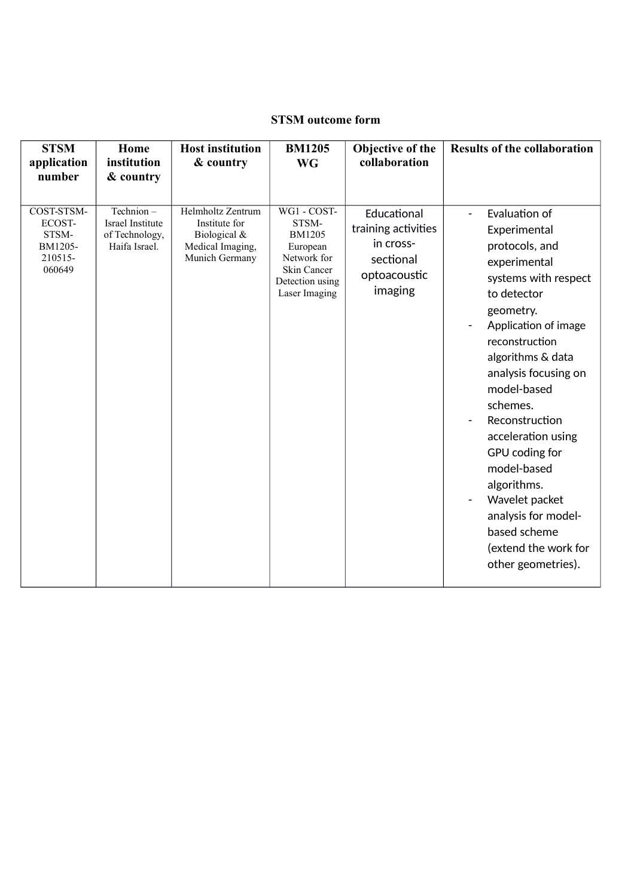# **STSM outcome form**

| <b>STSM</b><br>application                                              | Home<br>institution                                                           | <b>Host institution</b><br>& country                                                     | <b>BM1205</b><br><b>WG</b>                                                                                          | Objective of the<br>collaboration                                                       | <b>Results of the collaboration</b>                                                                                                                                                                                                   |
|-------------------------------------------------------------------------|-------------------------------------------------------------------------------|------------------------------------------------------------------------------------------|---------------------------------------------------------------------------------------------------------------------|-----------------------------------------------------------------------------------------|---------------------------------------------------------------------------------------------------------------------------------------------------------------------------------------------------------------------------------------|
| number<br>COST-STSM-<br>ECOST-<br>STSM-<br>BM1205-<br>210515-<br>060649 | & country<br>Technion-<br>Israel Institute<br>of Technology,<br>Haifa Israel. | Helmholtz Zentrum<br>Institute for<br>Biological &<br>Medical Imaging,<br>Munich Germany | WG1 - COST-<br>STSM-<br><b>BM1205</b><br>European<br>Network for<br>Skin Cancer<br>Detection using<br>Laser Imaging | Educational<br>training activities<br>in cross-<br>sectional<br>optoacoustic<br>imaging | Evaluation of<br>Experimental<br>protocols, and<br>experimental<br>systems with respect<br>to detector<br>geometry.<br>Application of image<br>reconstruction<br>algorithms & data<br>analysis focusing on<br>model-based<br>schemes. |
|                                                                         |                                                                               |                                                                                          |                                                                                                                     |                                                                                         | Reconstruction<br>acceleration using<br>GPU coding for<br>model-based<br>algorithms.<br>Wavelet packet<br>analysis for model-<br>based scheme                                                                                         |
|                                                                         |                                                                               |                                                                                          |                                                                                                                     |                                                                                         | (extend the work for<br>other geometries).                                                                                                                                                                                            |